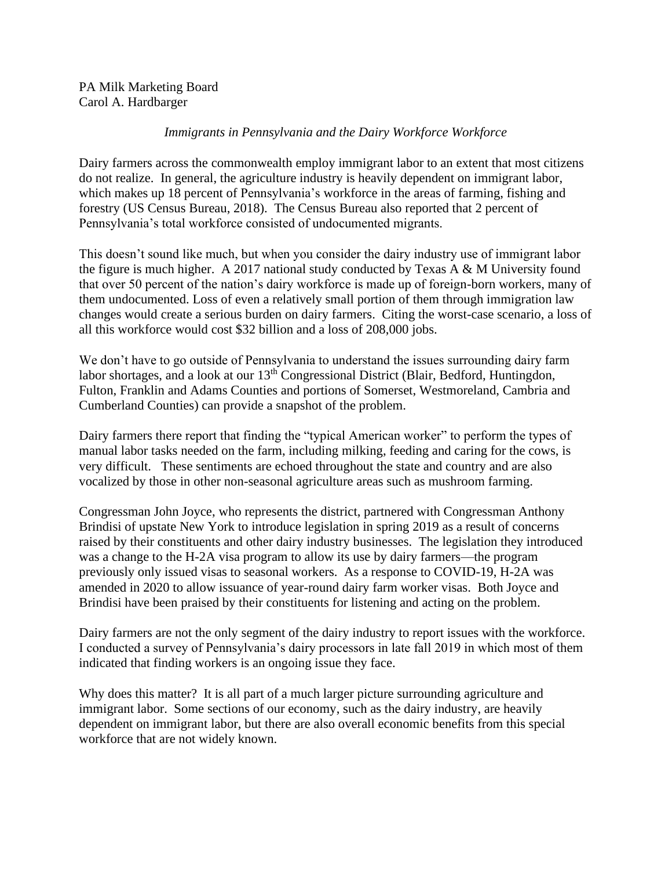## *Immigrants in Pennsylvania and the Dairy Workforce Workforce*

Dairy farmers across the commonwealth employ immigrant labor to an extent that most citizens do not realize. In general, the agriculture industry is heavily dependent on immigrant labor, which makes up 18 percent of Pennsylvania's workforce in the areas of farming, fishing and forestry (US Census Bureau, 2018). The Census Bureau also reported that 2 percent of Pennsylvania's total workforce consisted of undocumented migrants.

This doesn't sound like much, but when you consider the dairy industry use of immigrant labor the figure is much higher. A 2017 national study conducted by Texas A  $\&$  M University found that over 50 percent of the nation's dairy workforce is made up of foreign-born workers, many of them undocumented. Loss of even a relatively small portion of them through immigration law changes would create a serious burden on dairy farmers. Citing the worst-case scenario, a loss of all this workforce would cost \$32 billion and a loss of 208,000 jobs.

We don't have to go outside of Pennsylvania to understand the issues surrounding dairy farm labor shortages, and a look at our 13<sup>th</sup> Congressional District (Blair, Bedford, Huntingdon, Fulton, Franklin and Adams Counties and portions of Somerset, Westmoreland, Cambria and Cumberland Counties) can provide a snapshot of the problem.

Dairy farmers there report that finding the "typical American worker" to perform the types of manual labor tasks needed on the farm, including milking, feeding and caring for the cows, is very difficult. These sentiments are echoed throughout the state and country and are also vocalized by those in other non-seasonal agriculture areas such as mushroom farming.

Congressman John Joyce, who represents the district, partnered with Congressman Anthony Brindisi of upstate New York to introduce legislation in spring 2019 as a result of concerns raised by their constituents and other dairy industry businesses. The legislation they introduced was a change to the H-2A visa program to allow its use by dairy farmers—the program previously only issued visas to seasonal workers. As a response to COVID-19, H-2A was amended in 2020 to allow issuance of year-round dairy farm worker visas. Both Joyce and Brindisi have been praised by their constituents for listening and acting on the problem.

Dairy farmers are not the only segment of the dairy industry to report issues with the workforce. I conducted a survey of Pennsylvania's dairy processors in late fall 2019 in which most of them indicated that finding workers is an ongoing issue they face.

Why does this matter? It is all part of a much larger picture surrounding agriculture and immigrant labor. Some sections of our economy, such as the dairy industry, are heavily dependent on immigrant labor, but there are also overall economic benefits from this special workforce that are not widely known.